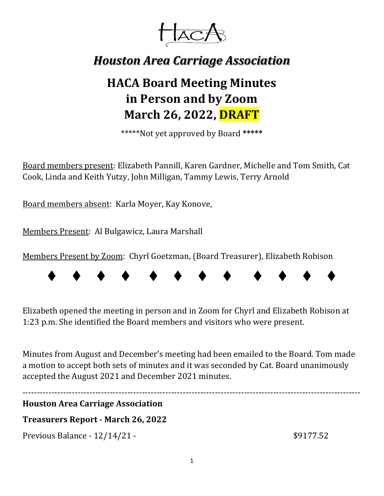

# *Houston Area Carriage Association*

# **HACA Board Meeting Minutes in Person and by Zoom March 26, 2022, DRAFT**

\*\*\*\*\*Not yet approved by Board **\*\*\*\*\***

Board members present: Elizabeth Pannill, Karen Gardner, Michelle and Tom Smith, Cat Cook, Linda and Keith Yutzy, John Milligan, Tammy Lewis, Terry Arnold

Board members absent: Karla Moyer, Kay Konove,

Members Present: Al Bulgawicz, Laura Marshall

Members Present by Zoom: Chyrl Goetzman, (Board Treasurer), Elizabeth Robison



Elizabeth opened the meeting in person and in Zoom for Chyrl and Elizabeth Robison at 1:23 p.m. She identified the Board members and visitors who were present.

Minutes from August and December's meeting had been emailed to the Board. Tom made a motion to accept both sets of minutes and it was seconded by Cat. Board unanimously accepted the August 2021 and December 2021 minutes.

#### **Houston Area Carriage Association**

# **Treasurers** Report **- March** 26, 2022

Previous Balance - 12/14/21 - \$9177.52

--------------------------------------------------------------------------------------------------------------------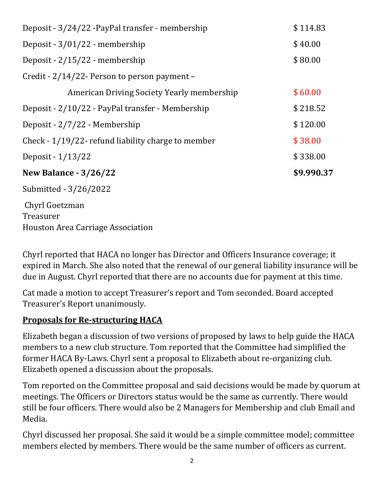| Deposit - 3/24/22 - PayPal transfer - membership                 | \$114.83   |
|------------------------------------------------------------------|------------|
| Deposit - $3/01/22$ - membership                                 | \$40.00    |
| Deposit - $2/15/22$ - membership                                 | \$80.00    |
| Credit - 2/14/22 - Person to person payment –                    |            |
| American Driving Society Yearly membership                       | \$60.00    |
| Deposit - 2/10/22 - PayPal transfer - Membership                 | \$218.52   |
| Deposit - 2/7/22 - Membership                                    | \$120.00   |
| Check - 1/19/22- refund liability charge to member               | \$38.00    |
| Deposit - $1/13/22$                                              | \$338.00   |
| <b>New Balance - 3/26/22</b>                                     | \$9.990.37 |
| Submitted - 3/26/2022                                            |            |
| Chyrl Goetzman<br>Treasurer<br>Houston Area Carriage Association |            |

Chyrl reported that HACA no longer has Director and Officers Insurance coverage; it expired in March. She also noted that the renewal of our general liability insurance will be due in August. Chyrl reported that there are no accounts due for payment at this time.

Cat made a motion to accept Treasurer's report and Tom seconded. Board accepted Treasurer's Report unanimously.

# **Proposals for Re‐structuring HACA**

Elizabeth began a discussion of two versions of proposed by laws to help guide the HACA members to a new club structure. Tom reported that the Committee had simplified the former HACA By-Laws. Chyrl sent a proposal to Elizabeth about re-organizing club. Elizabeth opened a discussion about the proposals.

Tom reported on the Committee proposal and said decisions would be made by quorum at meetings. The Officers or Directors status would be the same as currently. There would still be four officers. There would also be 2 Managers for Membership and club Email and Media.

Chyrl discussed her proposal. She said it would be a simple committee model; committee members elected by members. There would be the same number of officers as current.